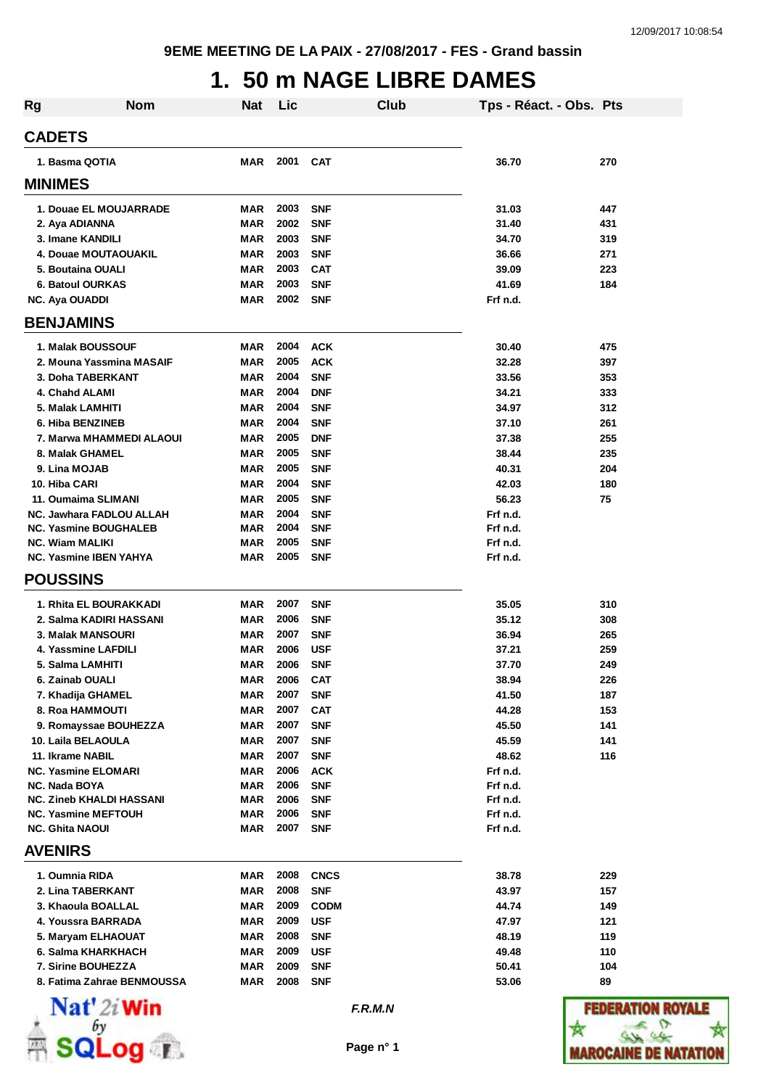# **1. 50 m NAGE LIBRE DAMES**

| <b>Rg</b>                                          | <b>Nom</b>                 | <b>Nat</b> | Lic          |                          | Club | Tps - Réact. - Obs. Pts |            |
|----------------------------------------------------|----------------------------|------------|--------------|--------------------------|------|-------------------------|------------|
| <b>CADETS</b>                                      |                            |            |              |                          |      |                         |            |
| 1. Basma QOTIA                                     |                            | MAR        | 2001         | <b>CAT</b>               |      | 36.70                   | 270        |
| <b>MINIMES</b>                                     |                            |            |              |                          |      |                         |            |
|                                                    | 1. Douae EL MOUJARRADE     | MAR        | 2003         | <b>SNF</b>               |      | 31.03                   | 447        |
| 2. Aya ADIANNA                                     |                            | <b>MAR</b> | 2002         | <b>SNF</b>               |      | 31.40                   | 431        |
| 3. Imane KANDILI                                   |                            | MAR        | 2003         | <b>SNF</b>               |      | 34.70                   | 319        |
| 4. Douae MOUTAOUAKIL                               |                            | <b>MAR</b> | 2003         | <b>SNF</b>               |      | 36.66                   | 271        |
| 5. Boutaina OUALI                                  |                            | MAR        | 2003         | <b>CAT</b>               |      | 39.09                   | 223        |
| <b>6. Batoul OURKAS</b>                            |                            | MAR        | 2003         | <b>SNF</b>               |      | 41.69                   | 184        |
| NC. Aya OUADDI                                     |                            | <b>MAR</b> | 2002         | <b>SNF</b>               |      | Frf n.d.                |            |
| <b>BENJAMINS</b>                                   |                            |            |              |                          |      |                         |            |
| 1. Malak BOUSSOUF                                  |                            | MAR        | 2004         | <b>ACK</b>               |      | 30.40                   | 475        |
|                                                    | 2. Mouna Yassmina MASAIF   | <b>MAR</b> | 2005         | <b>ACK</b>               |      | 32.28                   | 397        |
| 3. Doha TABERKANT                                  |                            | <b>MAR</b> | 2004         | <b>SNF</b>               |      | 33.56                   | 353        |
| 4. Chahd ALAMI                                     |                            | MAR        | 2004         | <b>DNF</b>               |      | 34.21                   | 333        |
| 5. Malak LAMHITI                                   |                            | MAR        | 2004         | <b>SNF</b>               |      | 34.97                   | 312        |
| 6. Hiba BENZINEB                                   |                            | MAR        | 2004         | <b>SNF</b>               |      | 37.10                   | 261        |
|                                                    | 7. Marwa MHAMMEDI ALAOUI   | MAR        | 2005         | <b>DNF</b>               |      | 37.38                   | 255        |
| 8. Malak GHAMEL                                    |                            | MAR        | 2005<br>2005 | <b>SNF</b>               |      | 38.44                   | 235<br>204 |
| 9. Lina MOJAB<br>10. Hiba CARI                     |                            | MAR<br>MAR | 2004         | <b>SNF</b><br><b>SNF</b> |      | 40.31<br>42.03          | 180        |
| 11. Oumaima SLIMANI                                |                            | MAR        | 2005         | <b>SNF</b>               |      | 56.23                   | 75         |
| NC. Jawhara FADLOU ALLAH                           |                            | <b>MAR</b> | 2004         | <b>SNF</b>               |      | Frf n.d.                |            |
| <b>NC. Yasmine BOUGHALEB</b>                       |                            | <b>MAR</b> | 2004         | <b>SNF</b>               |      | Frf n.d.                |            |
| <b>NC. Wiam MALIKI</b>                             |                            | <b>MAR</b> | 2005         | <b>SNF</b>               |      | Frf n.d.                |            |
| <b>NC. Yasmine IBEN YAHYA</b>                      |                            | MAR        | 2005         | <b>SNF</b>               |      | Frf n.d.                |            |
| <b>POUSSINS</b>                                    |                            |            |              |                          |      |                         |            |
| 1. Rhita EL BOURAKKADI                             |                            | <b>MAR</b> | 2007         | <b>SNF</b>               |      | 35.05                   | 310        |
| 2. Salma KADIRI HASSANI                            |                            | MAR        | 2006         | <b>SNF</b>               |      | 35.12                   | 308        |
| 3. Malak MANSOURI                                  |                            | MAR        | 2007         | <b>SNF</b>               |      | 36.94                   | 265        |
| 4. Yassmine LAFDILI                                |                            | MAR        | 2006         | <b>USF</b>               |      | 37.21                   | 259        |
| 5. Salma LAMHITI                                   |                            | <b>MAR</b> | 2006         | <b>SNF</b>               |      | 37.70                   | 249        |
| 6. Zainab OUALI                                    |                            | <b>MAR</b> | 2006         | <b>CAT</b>               |      | 38.94                   | 226        |
| 7. Khadija GHAMEL                                  |                            | MAR        | 2007         | <b>SNF</b>               |      | 41.50                   | 187        |
| 8. Roa HAMMOUTI                                    |                            | MAR        | 2007         | <b>CAT</b>               |      | 44.28                   | 153        |
| 9. Romayssae BOUHEZZA                              |                            | <b>MAR</b> | 2007         | <b>SNF</b>               |      | 45.50                   | 141        |
| 10. Laila BELAOULA                                 |                            | <b>MAR</b> | 2007         | <b>SNF</b>               |      | 45.59                   | 141        |
| 11. Ikrame NABIL                                   |                            | MAR        | 2007         | <b>SNF</b>               |      | 48.62                   | 116        |
| <b>NC. Yasmine ELOMARI</b><br><b>NC. Nada BOYA</b> |                            | MAR        | 2006<br>2006 | <b>ACK</b><br><b>SNF</b> |      | Frf n.d.                |            |
| <b>NC. Zineb KHALDI HASSANI</b>                    |                            | MAR<br>MAR | 2006         | <b>SNF</b>               |      | Frf n.d.<br>Frf n.d.    |            |
| <b>NC. Yasmine MEFTOUH</b>                         |                            | MAR        | 2006         | <b>SNF</b>               |      | Frf n.d.                |            |
| <b>NC. Ghita NAOUI</b>                             |                            | MAR        | 2007         | <b>SNF</b>               |      | Frf n.d.                |            |
| <b>AVENIRS</b>                                     |                            |            |              |                          |      |                         |            |
| 1. Oumnia RIDA                                     |                            | <b>MAR</b> | 2008         | <b>CNCS</b>              |      | 38.78                   | 229        |
| 2. Lina TABERKANT                                  |                            | MAR        | 2008         | <b>SNF</b>               |      | 43.97                   | 157        |
| 3. Khaoula BOALLAL                                 |                            | MAR        | 2009         | <b>CODM</b>              |      | 44.74                   | 149        |
| 4. Youssra BARRADA                                 |                            | MAR        | 2009         | <b>USF</b>               |      | 47.97                   | 121        |
| 5. Maryam ELHAOUAT                                 |                            | MAR        | 2008         | <b>SNF</b>               |      | 48.19                   | 119        |
| 6. Salma KHARKHACH                                 |                            | <b>MAR</b> | 2009         | <b>USF</b>               |      | 49.48                   | 110        |
| 7. Sirine BOUHEZZA                                 |                            | MAR        | 2009         | <b>SNF</b>               |      | 50.41                   | 104        |
|                                                    | 8. Fatima Zahrae BENMOUSSA | <b>MAR</b> | 2008         | <b>SNF</b>               |      | 53.06                   | 89         |
|                                                    |                            |            |              |                          |      |                         |            |



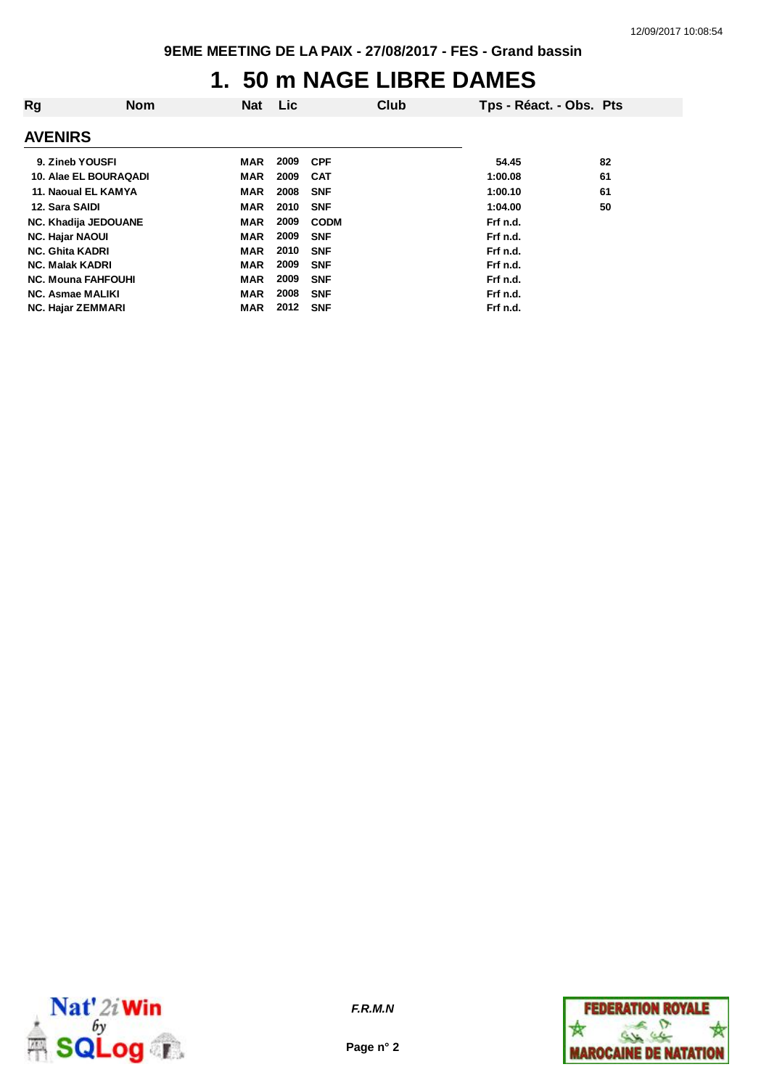#### **1. 50 m NAGE LIBRE DAMES**

| Rg                       | <b>Nom</b>                | <b>Nat</b> | Lic. |             | Club | Tps - Réact. - Obs. Pts |    |
|--------------------------|---------------------------|------------|------|-------------|------|-------------------------|----|
| <b>AVENIRS</b>           |                           |            |      |             |      |                         |    |
| 9. Zineb YOUSFI          |                           | MAR        | 2009 | <b>CPF</b>  |      | 54.45                   | 82 |
|                          | 10. Alae EL BOURAQADI     | <b>MAR</b> | 2009 | <b>CAT</b>  |      | 1:00.08                 | 61 |
|                          | 11. Naoual EL KAMYA       | <b>MAR</b> | 2008 | <b>SNF</b>  |      | 1:00.10                 | 61 |
| 12. Sara SAIDI           |                           | <b>MAR</b> | 2010 | <b>SNF</b>  |      | 1:04.00                 | 50 |
|                          | NC. Khadija JEDOUANE      | <b>MAR</b> | 2009 | <b>CODM</b> |      | Frf n.d.                |    |
| <b>NC. Hajar NAOUI</b>   |                           | <b>MAR</b> | 2009 | <b>SNF</b>  |      | Frf n.d.                |    |
| <b>NC. Ghita KADRI</b>   |                           | <b>MAR</b> | 2010 | <b>SNF</b>  |      | Frf n.d.                |    |
| <b>NC. Malak KADRI</b>   |                           | <b>MAR</b> | 2009 | <b>SNF</b>  |      | Frf n.d.                |    |
|                          | <b>NC. Mouna FAHFOUHI</b> | <b>MAR</b> | 2009 | <b>SNF</b>  |      | Frf n.d.                |    |
| NC. Asmae MALIKI         |                           | MAR        | 2008 | <b>SNF</b>  |      | Frf n.d.                |    |
| <b>NC. Hajar ZEMMARI</b> |                           | MAR        | 2012 | <b>SNF</b>  |      | Frf n.d.                |    |



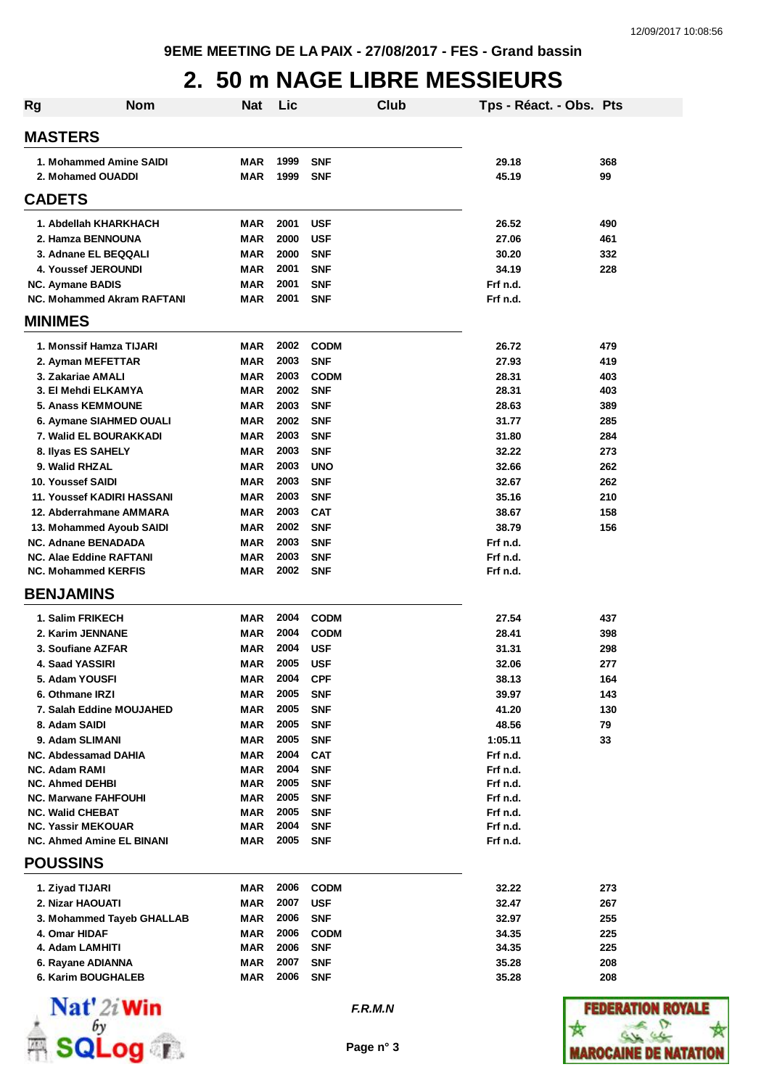## **2. 50 m NAGE LIBRE MESSIEURS**

| <b>Rg</b>                                      | <b>Nom</b> | <b>Nat</b>        | Lic          |                          | Club | Tps - Réact. - Obs. Pts |            |
|------------------------------------------------|------------|-------------------|--------------|--------------------------|------|-------------------------|------------|
| <b>MASTERS</b>                                 |            |                   |              |                          |      |                         |            |
| 1. Mohammed Amine SAIDI                        |            | MAR               | 1999         | <b>SNF</b>               |      | 29.18                   | 368        |
| 2. Mohamed OUADDI                              |            | <b>MAR</b>        | 1999         | <b>SNF</b>               |      | 45.19                   | 99         |
| <b>CADETS</b>                                  |            |                   |              |                          |      |                         |            |
| 1. Abdellah KHARKHACH                          |            | <b>MAR</b>        | 2001         | <b>USF</b>               |      | 26.52                   | 490        |
| 2. Hamza BENNOUNA                              |            | MAR               | 2000         | <b>USF</b>               |      | 27.06                   | 461        |
| 3. Adnane EL BEQQALI                           |            | <b>MAR</b>        | 2000         | <b>SNF</b>               |      | 30.20                   | 332        |
| 4. Youssef JEROUNDI                            |            | <b>MAR</b>        | 2001         | <b>SNF</b>               |      | 34.19                   | 228        |
| <b>NC. Aymane BADIS</b>                        |            | <b>MAR</b>        | 2001         | <b>SNF</b>               |      | Frf n.d.                |            |
| NC. Mohammed Akram RAFTANI                     |            | MAR               | 2001         | <b>SNF</b>               |      | Frf n.d.                |            |
| <b>MINIMES</b>                                 |            |                   |              |                          |      |                         |            |
| 1. Monssif Hamza TIJARI                        |            | <b>MAR</b>        | 2002         | <b>CODM</b>              |      | 26.72                   | 479        |
| 2. Ayman MEFETTAR                              |            | <b>MAR</b>        | 2003         | <b>SNF</b>               |      | 27.93                   | 419        |
| 3. Zakariae AMALI                              |            | MAR               | 2003         | <b>CODM</b>              |      | 28.31                   | 403        |
| 3. El Mehdi ELKAMYA                            |            | <b>MAR</b>        | 2002         | <b>SNF</b>               |      | 28.31                   | 403        |
| 5. Anass KEMMOUNE                              |            | MAR               | 2003         | <b>SNF</b>               |      | 28.63                   | 389        |
| 6. Aymane SIAHMED OUALI                        |            | MAR               | 2002         | <b>SNF</b>               |      | 31.77                   | 285        |
| 7. Walid EL BOURAKKADI                         |            | MAR               | 2003<br>2003 | <b>SNF</b>               |      | 31.80                   | 284        |
| 8. Ilyas ES SAHELY<br>9. Walid RHZAL           |            | MAR<br><b>MAR</b> | 2003         | <b>SNF</b><br><b>UNO</b> |      | 32.22<br>32.66          | 273<br>262 |
| 10. Youssef SAIDI                              |            | <b>MAR</b>        | 2003         | <b>SNF</b>               |      | 32.67                   | 262        |
| <b>11. Youssef KADIRI HASSANI</b>              |            | <b>MAR</b>        | 2003         | <b>SNF</b>               |      | 35.16                   | 210        |
| 12. Abderrahmane AMMARA                        |            | MAR               | 2003         | <b>CAT</b>               |      | 38.67                   | 158        |
| 13. Mohammed Ayoub SAIDI                       |            | MAR               | 2002         | <b>SNF</b>               |      | 38.79                   | 156        |
| <b>NC. Adnane BENADADA</b>                     |            | <b>MAR</b>        | 2003         | <b>SNF</b>               |      | Frf n.d.                |            |
| <b>NC. Alae Eddine RAFTANI</b>                 |            | <b>MAR</b>        | 2003         | <b>SNF</b>               |      | Frf n.d.                |            |
| <b>NC. Mohammed KERFIS</b>                     |            | MAR               | 2002         | <b>SNF</b>               |      | Frf n.d.                |            |
| <b>BENJAMINS</b>                               |            |                   |              |                          |      |                         |            |
| 1. Salim FRIKECH                               |            | MAR               | 2004         | <b>CODM</b>              |      | 27.54                   | 437        |
| 2. Karim JENNANE                               |            | <b>MAR</b>        | 2004         | <b>CODM</b>              |      | 28.41                   | 398        |
| 3. Soufiane AZFAR                              |            | MAR               | 2004         | <b>USF</b>               |      | 31.31                   | 298        |
| 4. Saad YASSIRI                                |            | <b>MAR</b>        | 2005         | <b>USF</b>               |      | 32.06                   | 277        |
| 5. Adam YOUSFI                                 |            | MAR               | 2004         | <b>CPF</b>               |      | 38.13                   | 164        |
| 6. Othmane IRZI                                |            | MAR               | 2005         | <b>SNF</b>               |      | 39.97                   | 143        |
| 7. Salah Eddine MOUJAHED                       |            | <b>MAR</b>        | 2005         | <b>SNF</b>               |      | 41.20                   | 130        |
| 8. Adam SAIDI                                  |            | <b>MAR</b>        | 2005         | <b>SNF</b>               |      | 48.56                   | 79         |
| 9. Adam SLIMANI                                |            | MAR               | 2005         | <b>SNF</b>               |      | 1:05.11                 | 33         |
| <b>NC. Abdessamad DAHIA</b>                    |            | <b>MAR</b>        | 2004<br>2004 | <b>CAT</b><br><b>SNF</b> |      | Frf n.d.                |            |
| <b>NC. Adam RAMI</b><br><b>NC. Ahmed DEHBI</b> |            | MAR<br>MAR        | 2005         | <b>SNF</b>               |      | Frf n.d.<br>Frf n.d.    |            |
| <b>NC. Marwane FAHFOUHI</b>                    |            | <b>MAR</b>        | 2005         | <b>SNF</b>               |      | Frf n.d.                |            |
| <b>NC. Walid CHEBAT</b>                        |            | MAR               | 2005         | <b>SNF</b>               |      | Frf n.d.                |            |
| <b>NC. Yassir MEKOUAR</b>                      |            | MAR               | 2004         | <b>SNF</b>               |      | Frf n.d.                |            |
| <b>NC. Ahmed Amine EL BINANI</b>               |            | MAR               | 2005         | <b>SNF</b>               |      | Frf n.d.                |            |
| <b>POUSSINS</b>                                |            |                   |              |                          |      |                         |            |
| 1. Ziyad TIJARI                                |            | MAR               | 2006         | <b>CODM</b>              |      | 32.22                   | 273        |
| 2. Nizar HAOUATI                               |            | MAR               | 2007         | <b>USF</b>               |      | 32.47                   | 267        |
| 3. Mohammed Tayeb GHALLAB                      |            | MAR               | 2006         | <b>SNF</b>               |      | 32.97                   | 255        |
| 4. Omar HIDAF                                  |            | <b>MAR</b>        | 2006         | <b>CODM</b>              |      | 34.35                   | 225        |
| 4. Adam LAMHITI                                |            | MAR               | 2006         | <b>SNF</b>               |      | 34.35                   | 225        |
| 6. Rayane ADIANNA                              |            | MAR               | 2007         | <b>SNF</b>               |      | 35.28                   | 208        |
| 6. Karim BOUGHALEB                             |            | MAR               | 2006         | <b>SNF</b>               |      | 35.28                   | 208        |
|                                                |            |                   |              |                          |      |                         |            |



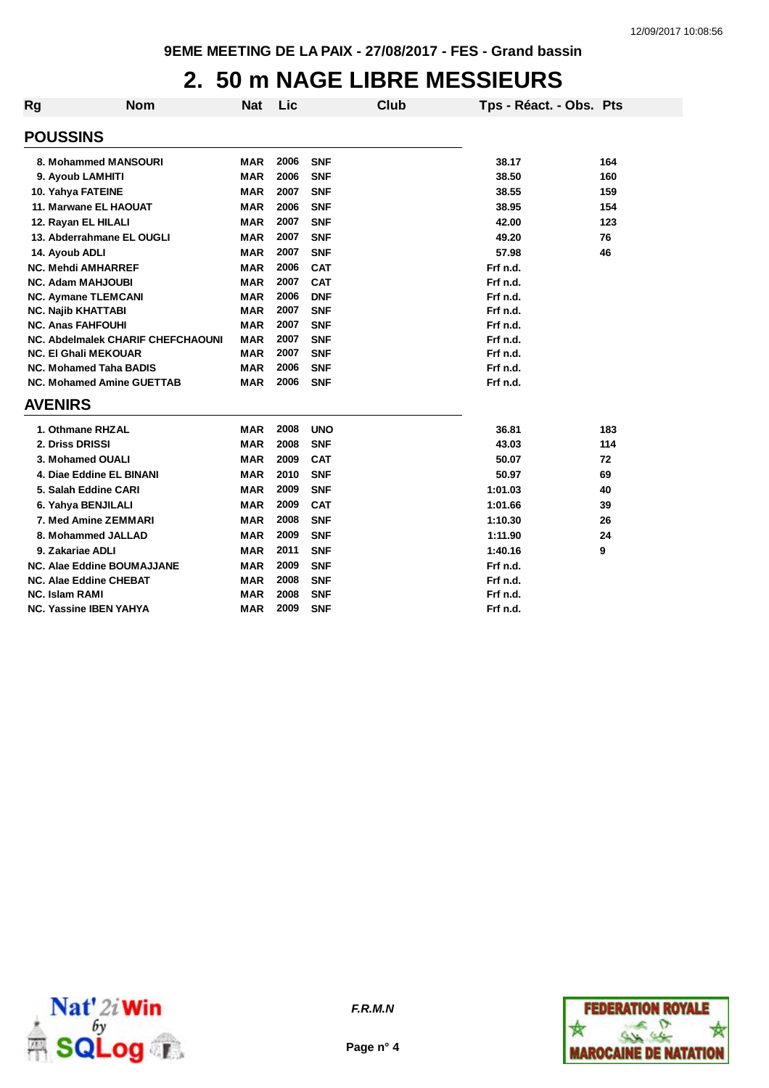# **2. 50 m NAGE LIBRE MESSIEURS**

| <b>Rg</b>                 | <b>Nom</b>                               | <b>Nat</b> | Lic  |            | Club | Tps - Réact. - Obs. Pts |     |
|---------------------------|------------------------------------------|------------|------|------------|------|-------------------------|-----|
| <b>POUSSINS</b>           |                                          |            |      |            |      |                         |     |
|                           | 8. Mohammed MANSOURI                     | <b>MAR</b> | 2006 | <b>SNF</b> |      | 38.17                   | 164 |
|                           | 9. Ayoub LAMHITI                         | <b>MAR</b> | 2006 | <b>SNF</b> |      | 38.50                   | 160 |
| 10. Yahya FATEINE         |                                          | <b>MAR</b> | 2007 | <b>SNF</b> |      | 38.55                   | 159 |
|                           | 11. Marwane EL HAOUAT                    | <b>MAR</b> | 2006 | <b>SNF</b> |      | 38.95                   | 154 |
|                           | 12. Rayan EL HILALI                      | <b>MAR</b> | 2007 | <b>SNF</b> |      | 42.00                   | 123 |
|                           | 13. Abderrahmane EL OUGLI                | <b>MAR</b> | 2007 | <b>SNF</b> |      | 49.20                   | 76  |
| 14. Ayoub ADLI            |                                          | <b>MAR</b> | 2007 | <b>SNF</b> |      | 57.98                   | 46  |
|                           | <b>NC. Mehdi AMHARREF</b>                | <b>MAR</b> | 2006 | <b>CAT</b> |      | Frf n.d.                |     |
|                           | <b>NC. Adam MAHJOUBI</b>                 | <b>MAR</b> | 2007 | <b>CAT</b> |      | Frf n.d.                |     |
|                           | <b>NC. Aymane TLEMCANI</b>               | <b>MAR</b> | 2006 | <b>DNF</b> |      | Frf n.d.                |     |
| <b>NC. Najib KHATTABI</b> |                                          | <b>MAR</b> | 2007 | <b>SNF</b> |      | Frf n.d.                |     |
| <b>NC. Anas FAHFOUHI</b>  |                                          | <b>MAR</b> | 2007 | <b>SNF</b> |      | Frf n.d.                |     |
|                           | <b>NC. Abdelmalek CHARIF CHEFCHAOUNI</b> | <b>MAR</b> | 2007 | <b>SNF</b> |      | Frf n.d.                |     |
|                           | <b>NC. El Ghali MEKOUAR</b>              | <b>MAR</b> | 2007 | <b>SNF</b> |      | Frf n.d.                |     |
|                           | <b>NC. Mohamed Taha BADIS</b>            | <b>MAR</b> | 2006 | <b>SNF</b> |      | Frf n.d.                |     |
|                           | <b>NC. Mohamed Amine GUETTAB</b>         | <b>MAR</b> | 2006 | <b>SNF</b> |      | Frf n.d.                |     |
| <b>AVENIRS</b>            |                                          |            |      |            |      |                         |     |
|                           | 1. Othmane RHZAL                         | <b>MAR</b> | 2008 | <b>UNO</b> |      | 36.81                   | 183 |
| 2. Driss DRISSI           |                                          | <b>MAR</b> | 2008 | <b>SNF</b> |      | 43.03                   | 114 |
|                           | 3. Mohamed OUALI                         | <b>MAR</b> | 2009 | <b>CAT</b> |      | 50.07                   | 72  |
|                           | 4. Diae Eddine EL BINANI                 | <b>MAR</b> | 2010 | <b>SNF</b> |      | 50.97                   | 69  |
|                           | 5. Salah Eddine CARI                     | <b>MAR</b> | 2009 | <b>SNF</b> |      | 1:01.03                 | 40  |
|                           | 6. Yahya BENJILALI                       | <b>MAR</b> | 2009 | <b>CAT</b> |      | 1:01.66                 | 39  |
|                           | 7. Med Amine ZEMMARI                     | <b>MAR</b> | 2008 | <b>SNF</b> |      | 1:10.30                 | 26  |
|                           | 8. Mohammed JALLAD                       | <b>MAR</b> | 2009 | <b>SNF</b> |      | 1:11.90                 | 24  |
| 9. Zakariae ADLI          |                                          | <b>MAR</b> | 2011 | <b>SNF</b> |      | 1:40.16                 | 9   |
|                           | NC. Alae Eddine BOUMAJJANE               | <b>MAR</b> | 2009 | <b>SNF</b> |      | Frf n.d.                |     |
|                           | NC. Alae Eddine CHEBAT                   | <b>MAR</b> | 2008 | <b>SNF</b> |      | Frf n.d.                |     |
| <b>NC. Islam RAMI</b>     |                                          | <b>MAR</b> | 2008 | <b>SNF</b> |      | Frf n.d.                |     |
|                           | <b>NC. Yassine IBEN YAHYA</b>            | <b>MAR</b> | 2009 | <b>SNF</b> |      | Frf n.d.                |     |



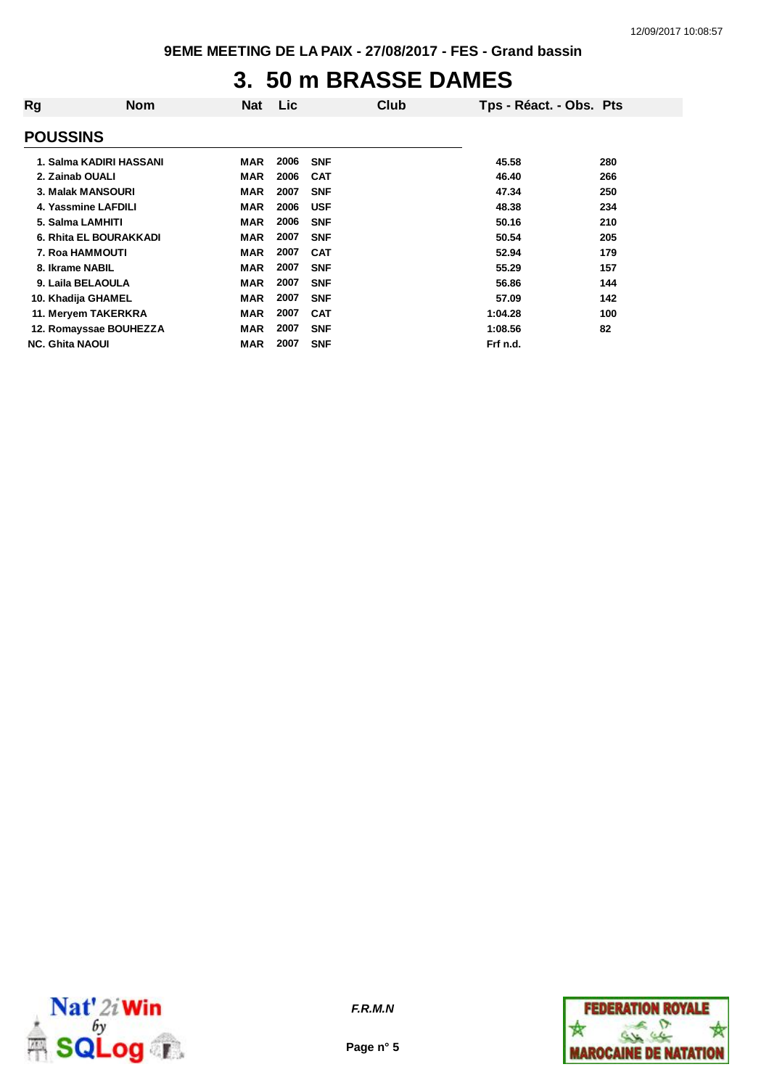#### **3. 50 m BRASSE DAMES**

| Rg                       | <b>Nom</b>              | <b>Nat</b> | <b>Lic</b> |            | Club | Tps - Réact. - Obs. Pts |     |
|--------------------------|-------------------------|------------|------------|------------|------|-------------------------|-----|
| <b>POUSSINS</b>          |                         |            |            |            |      |                         |     |
|                          | 1. Salma KADIRI HASSANI | <b>MAR</b> | 2006       | <b>SNF</b> |      | 45.58                   | 280 |
| 2. Zainab OUALI          |                         | <b>MAR</b> | 2006       | <b>CAT</b> |      | 46.40                   | 266 |
| <b>3. Malak MANSOURI</b> |                         | <b>MAR</b> | 2007       | <b>SNF</b> |      | 47.34                   | 250 |
| 4. Yassmine LAFDILI      |                         | <b>MAR</b> | 2006       | <b>USF</b> |      | 48.38                   | 234 |
| 5. Salma LAMHITI         |                         | <b>MAR</b> | 2006       | <b>SNF</b> |      | 50.16                   | 210 |
|                          | 6. Rhita EL BOURAKKADI  | <b>MAR</b> | 2007       | <b>SNF</b> |      | 50.54                   | 205 |
| <b>7. Roa HAMMOUTI</b>   |                         | <b>MAR</b> | 2007       | <b>CAT</b> |      | 52.94                   | 179 |
| 8. Ikrame NABIL          |                         | <b>MAR</b> | 2007       | <b>SNF</b> |      | 55.29                   | 157 |
| 9. Laila BELAOULA        |                         | <b>MAR</b> | 2007       | <b>SNF</b> |      | 56.86                   | 144 |
| 10. Khadija GHAMEL       |                         | <b>MAR</b> | 2007       | <b>SNF</b> |      | 57.09                   | 142 |
| 11. Meryem TAKERKRA      |                         | <b>MAR</b> | 2007       | <b>CAT</b> |      | 1:04.28                 | 100 |
|                          | 12. Romayssae BOUHEZZA  | <b>MAR</b> | 2007       | <b>SNF</b> |      | 1:08.56                 | 82  |
| <b>NC. Ghita NAOUI</b>   |                         | <b>MAR</b> | 2007       | <b>SNF</b> |      | Frf n.d.                |     |



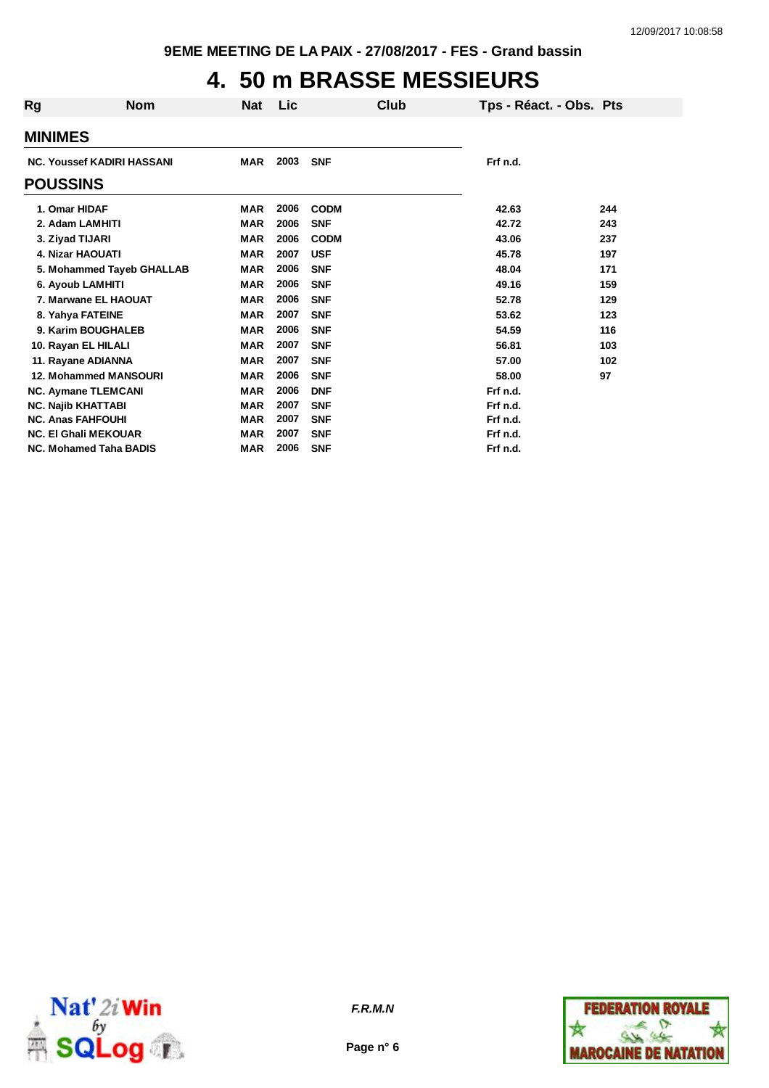# **4. 50 m BRASSE MESSIEURS**

| Rg              | <b>Nom</b>                        | Nat        | <b>Lic</b> |             | Club | Tps - Réact. - Obs. Pts |     |
|-----------------|-----------------------------------|------------|------------|-------------|------|-------------------------|-----|
| <b>MINIMES</b>  |                                   |            |            |             |      |                         |     |
|                 | <b>NC. Youssef KADIRI HASSANI</b> | <b>MAR</b> | 2003       | <b>SNF</b>  |      | Frf n.d.                |     |
| <b>POUSSINS</b> |                                   |            |            |             |      |                         |     |
| 1. Omar HIDAF   |                                   | <b>MAR</b> | 2006       | <b>CODM</b> |      | 42.63                   | 244 |
|                 | 2. Adam LAMHITI                   | <b>MAR</b> | 2006       | <b>SNF</b>  |      | 42.72                   | 243 |
|                 | 3. Ziyad TIJARI                   | <b>MAR</b> | 2006       | <b>CODM</b> |      | 43.06                   | 237 |
|                 | 4. Nizar HAOUATI                  | <b>MAR</b> | 2007       | <b>USF</b>  |      | 45.78                   | 197 |
|                 | 5. Mohammed Tayeb GHALLAB         | <b>MAR</b> | 2006       | <b>SNF</b>  |      | 48.04                   | 171 |
|                 | 6. Ayoub LAMHITI                  | <b>MAR</b> | 2006       | <b>SNF</b>  |      | 49.16                   | 159 |
|                 | 7. Marwane EL HAOUAT              | <b>MAR</b> | 2006       | <b>SNF</b>  |      | 52.78                   | 129 |
|                 | 8. Yahya FATEINE                  | <b>MAR</b> | 2007       | <b>SNF</b>  |      | 53.62                   | 123 |
|                 | 9. Karim BOUGHALEB                | <b>MAR</b> | 2006       | <b>SNF</b>  |      | 54.59                   | 116 |
|                 | 10. Rayan EL HILALI               | <b>MAR</b> | 2007       | <b>SNF</b>  |      | 56.81                   | 103 |
|                 | 11. Rayane ADIANNA                | <b>MAR</b> | 2007       | <b>SNF</b>  |      | 57.00                   | 102 |
|                 | 12. Mohammed MANSOURI             | <b>MAR</b> | 2006       | <b>SNF</b>  |      | 58.00                   | 97  |
|                 | <b>NC. Aymane TLEMCANI</b>        | <b>MAR</b> | 2006       | <b>DNF</b>  |      | Frf n.d.                |     |
|                 | <b>NC. Najib KHATTABI</b>         | <b>MAR</b> | 2007       | <b>SNF</b>  |      | Frf n.d.                |     |
|                 | <b>NC. Anas FAHFOUHI</b>          | <b>MAR</b> | 2007       | <b>SNF</b>  |      | Frf n.d.                |     |
|                 | <b>NC. El Ghali MEKOUAR</b>       | <b>MAR</b> | 2007       | <b>SNF</b>  |      | Frf n.d.                |     |
|                 | <b>NC. Mohamed Taha BADIS</b>     | <b>MAR</b> | 2006       | <b>SNF</b>  |      | Frf n.d.                |     |



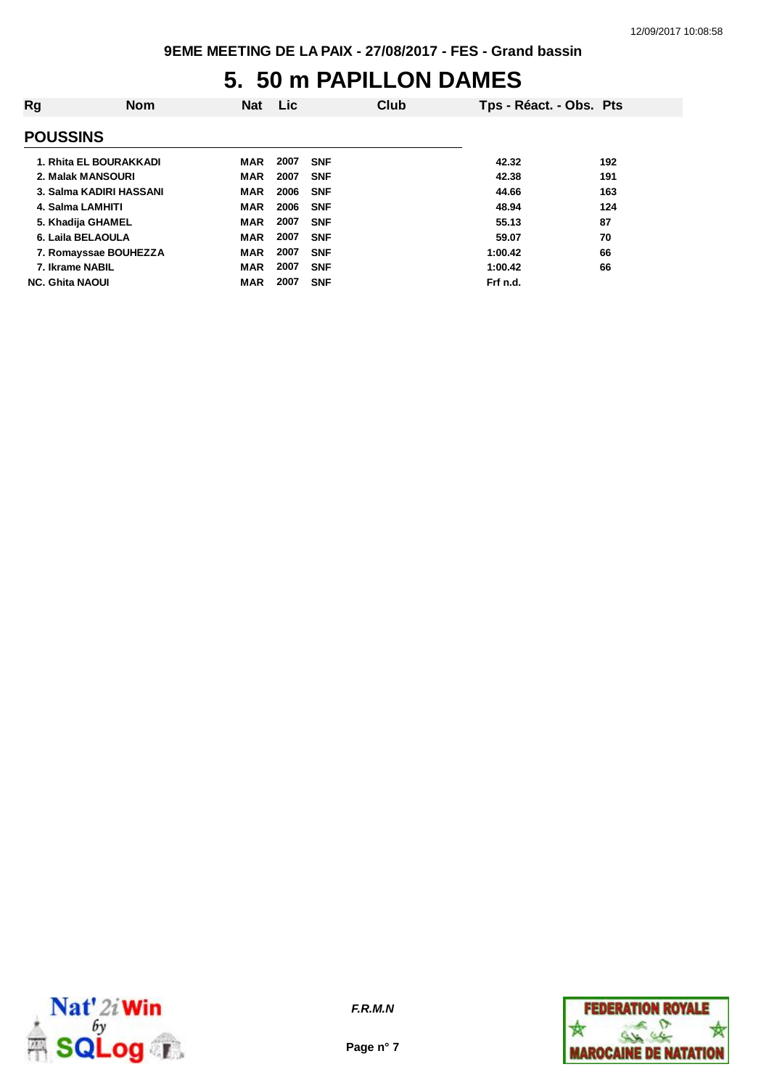## **5. 50 m PAPILLON DAMES**

| Rg | <b>Nom</b>              | <b>Nat</b> | <b>Lic</b> |            | Club | Tps - Réact. - Obs. Pts |     |
|----|-------------------------|------------|------------|------------|------|-------------------------|-----|
|    | <b>POUSSINS</b>         |            |            |            |      |                         |     |
|    | 1. Rhita EL BOURAKKADI  | MAR        | 2007       | <b>SNF</b> |      | 42.32                   | 192 |
|    | 2. Malak MANSOURI       | <b>MAR</b> | 2007       | <b>SNF</b> |      | 42.38                   | 191 |
|    | 3. Salma KADIRI HASSANI | <b>MAR</b> | 2006       | <b>SNF</b> |      | 44.66                   | 163 |
|    | 4. Salma LAMHITI        | <b>MAR</b> | 2006       | <b>SNF</b> |      | 48.94                   | 124 |
|    | 5. Khadija GHAMEL       | <b>MAR</b> | 2007       | <b>SNF</b> |      | 55.13                   | 87  |
|    | 6. Laila BELAOULA       | <b>MAR</b> | 2007       | <b>SNF</b> |      | 59.07                   | 70  |
|    | 7. Romayssae BOUHEZZA   | <b>MAR</b> | 2007       | <b>SNF</b> |      | 1:00.42                 | 66  |
|    | 7. Ikrame NABIL         | <b>MAR</b> | 2007       | <b>SNF</b> |      | 1:00.42                 | 66  |
|    | <b>NC. Ghita NAOUI</b>  | <b>MAR</b> | 2007       | <b>SNF</b> |      | Frf n.d.                |     |